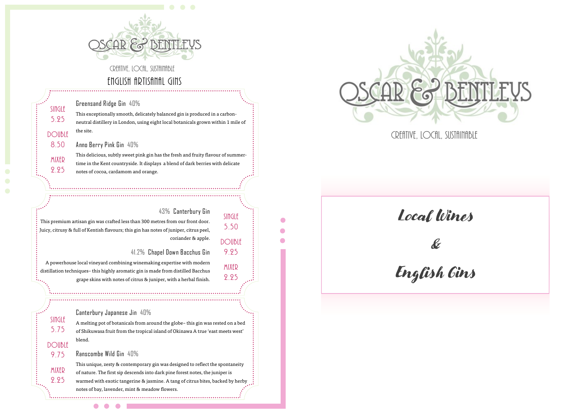

# English Artisanal Gins

Greensand Ridge Gin 40%

SINGLF 5.25

DOUBLE 8.50

> MIXER 2.25

Single 5.75

MIXFR 2.25

This exceptionally smooth, delicately balanced gin is produced in a carbonneutral distillery in London, using eight local botanicals grown within 1 mile of the site.

#### Anno Berry Pink Gin 40%

This delicious, subtly sweet pink gin has the fresh and fruity flavour of summertime in the Kent countryside. It displays a blend of dark berries with delicate notes of cocoa, cardamom and orange.

### 43% Canterbury Gin

Single 5.50

DOUBLE 9.25

> MIXER 2.25

This premium artisan gin was crafted less than 300 metres from our front door. Juicy, citrusy & full of Kentish flavours; this gin has notes of juniper, citrus peel, coriander & apple.

41.2% Chapel Down Bacchus Gin

A powerhouse local vineyard combining winemaking expertise with modern distillation techniques– this highly aromatic gin is made from distilled Bacchus grape skins with notes of citrus & juniper, with a herbal finish.

#### Canterbury Japanese Jin 40%

A melting pot of botanicals from around the globe– this gin was rested on a bed of Shikuwasa fruit from the tropical island of Okinawa A true 'east meets west' blend. DOIIBIF

#### Ranscombe Wild Gin 40% 9.75

 $\bullet$ 

This unique, zesty & contemporary gin was designed to reflect the spontaneity of nature. The first sip descends into dark pine forest notes, the juniper is warmed with exotic tangerine & jasmine. A tang of citrus bites, backed by herby notes of bay, lavender, mint & meadow flowers.



CREATIVE, LOCAL, SUSTAINABLE

Local Wines

# &

English Gins